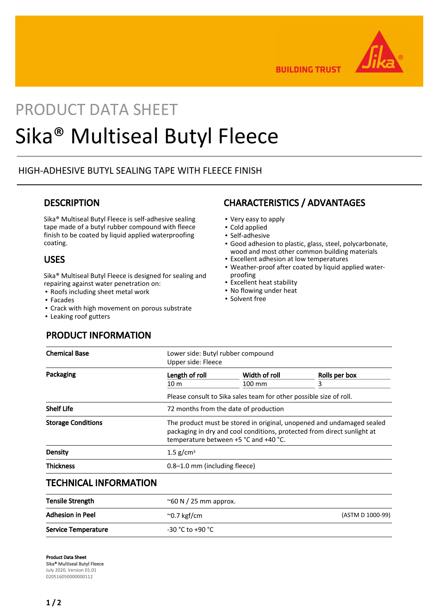

**BUILDING TRUST** 

# PRODUCT DATA SHEET Sika® Multiseal Butyl Fleece

# HIGH-ADHESIVE BUTYL SEALING TAPE WITH FLEECE FINISH

## **DESCRIPTION**

Sika® Multiseal Butyl Fleece is self-adhesive sealing tape made of a butyl rubber compound with fleece finish to be coated by liquid applied waterproofing coating.

# USES

Sika® Multiseal Butyl Fleece is designed for sealing and repairing against water penetration on:

Service Temperature  $-30$  °C to +90 °C

- Roofs including sheet metal work
- Facades
- Crack with high movement on porous substrate
- **· Leaking roof gutters**

# CHARACTERISTICS / ADVANTAGES

- Very easy to apply
- Cold applied
- Self-adhesive
- Good adhesion to plastic, glass, steel, polycarbonate, wood and most other common building materials
- Excellent adhesion at low temperatures
- Weather-proof after coated by liquid applied water-▪ proofing
- Excellent heat stability
- No flowing under heat
- Solvent free

# PRODUCT INFORMATION

| <b>Chemical Base</b>         | Lower side: Butyl rubber compound<br>Upper side: Fleece                                                                                                                                   |                         |                    |
|------------------------------|-------------------------------------------------------------------------------------------------------------------------------------------------------------------------------------------|-------------------------|--------------------|
| Packaging                    | Length of roll<br>10 <sub>m</sub>                                                                                                                                                         | Width of roll<br>100 mm | Rolls per box<br>3 |
|                              | Please consult to Sika sales team for other possible size of roll.                                                                                                                        |                         |                    |
| <b>Shelf Life</b>            | 72 months from the date of production                                                                                                                                                     |                         |                    |
| <b>Storage Conditions</b>    | The product must be stored in original, unopened and undamaged sealed<br>packaging in dry and cool conditions, protected from direct sunlight at<br>temperature between +5 °C and +40 °C. |                         |                    |
| Density                      | $1.5$ g/cm <sup>3</sup>                                                                                                                                                                   |                         |                    |
| <b>Thickness</b>             | 0.8-1.0 mm (including fleece)                                                                                                                                                             |                         |                    |
| <b>TECHNICAL INFORMATION</b> |                                                                                                                                                                                           |                         |                    |

| <b>Tensile Strength</b> | $\sim$ 60 N / 25 mm approx. |                  |
|-------------------------|-----------------------------|------------------|
| <b>Adhesion in Peel</b> | $\sim$ 0.7 kgf/cm           | (ASTM D 1000-99) |